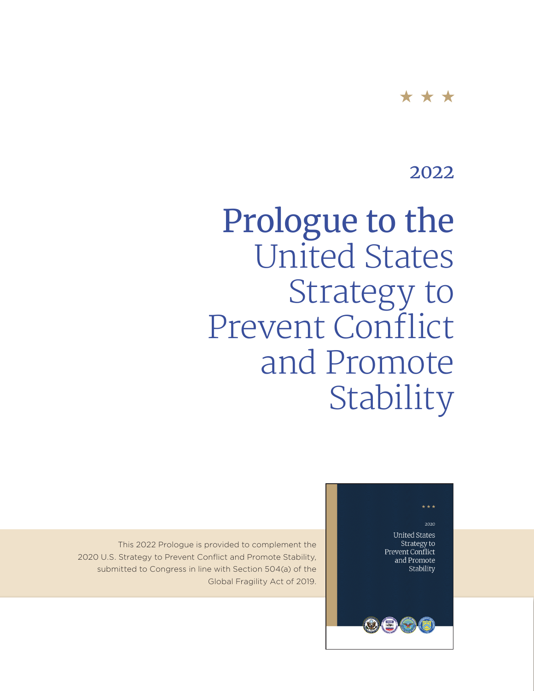#### \* \* \*

## 2022

# Prologue to the United States Strategy to Prevent Conflict and Promote Stability

#### \* \* \*

2020

**United States** Strategy to Prevent Conflict and Promote Stability

This 2022 Prologue is provided to complement the 2020 U.S. Strategy to Prevent Conflict and Promote Stability, submitted to Congress in line with Section 504(a) of the Global Fragility Act of 2019.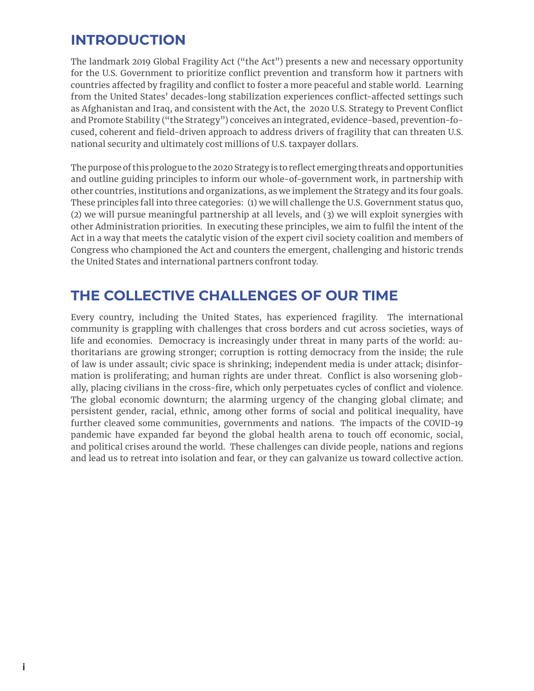#### **INTRODUCTION**

The landmark 2019 Global Fragility Act ("the Act") presents a new and necessary opportunity for the U.S. Government to prioritize conflict prevention and transform how it partners with countries affected by fragility and conflict to foster a more peaceful and stable world. Learning from the United States' decades-long stabilization experiences conflict-affected settings such as Afghanistan and Iraq, and consistent with the Act, the 2020 U.S. Strategy to Prevent Conflict and Promote Stability ("the Strategy") conceives an integrated, evidence-based, prevention-focused, coherent and field-driven approach to address drivers of fragility that can threaten U.S. national security and ultimately cost millions of U.S. taxpayer dollars.

The purpose of this prologue to the 2020 Strategy is to reflect emerging threats and opportunities and outline guiding principles to inform our whole-of-government work, in partnership with other countries, institutions and organizations, as we implement the Strategy and its four goals. These principles fall into three categories: (1) we will challenge the U.S. Government status quo, (2) we will pursue meaningful partnership at all levels, and (3) we will exploit synergies with other Administration priorities. In executing these principles, we aim to fulfil the intent of the Act in a way that meets the catalytic vision of the expert civil society coalition and members of Congress who championed the Act and counters the emergent, challenging and historic trends the United States and international partners confront today.

#### **THE COLLECTIVE CHALLENGES OF OUR TIME**

Every country, including the United States, has experienced fragility. The international community is grappling with challenges that cross borders and cut across societies, ways of life and economies. Democracy is increasingly under threat in many parts of the world: authoritarians are growing stronger; corruption is rotting democracy from the inside; the rule of law is under assault; civic space is shrinking; independent media is under attack; disinformation is proliferating; and human rights are under threat. Conflict is also worsening globally, placing civilians in the cross-fire, which only perpetuates cycles of conflict and violence. The global economic downturn; the alarming urgency of the changing global climate; and persistent gender, racial, ethnic, among other forms of social and political inequality, have further cleaved some communities, governments and nations. The impacts of the COVID-19 pandemic have expanded far beyond the global health arena to touch off economic, social, and political crises around the world. These challenges can divide people, nations and regions and lead us to retreat into isolation and fear, or they can galvanize us toward collective action.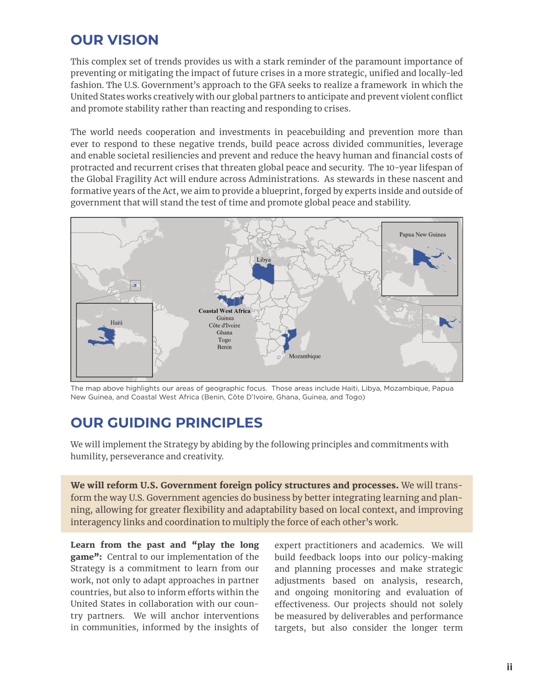### **OUR VISION**

This complex set of trends provides us with a stark reminder of the paramount importance of preventing or mitigating the impact of future crises in a more strategic, unified and locally-led fashion. The U.S. Government's approach to the GFA seeks to realize a framework in which the United States works creatively with our global partners to anticipate and prevent violent conflict and promote stability rather than reacting and responding to crises.

The world needs cooperation and investments in peacebuilding and prevention more than ever to respond to these negative trends, build peace across divided communities, leverage and enable societal resiliencies and prevent and reduce the heavy human and financial costs of protracted and recurrent crises that threaten global peace and security. The 10-year lifespan of the Global Fragility Act will endure across Administrations. As stewards in these nascent and formative years of the Act, we aim to provide a blueprint, forged by experts inside and outside of government that will stand the test of time and promote global peace and stability.



The map above highlights our areas of geographic focus. Those areas include Haiti, Libya, Mozambique, Papua New Guinea, and Coastal West Africa (Benin, Côte D'Ivoire, Ghana, Guinea, and Togo)

#### **OUR GUIDING PRINCIPLES**

We will implement the Strategy by abiding by the following principles and commitments with humility, perseverance and creativity.

We will reform U.S. Government foreign policy structures and processes. We will transform the way U.S. Government agencies do business by better integrating learning and planning, allowing for greater flexibility and adaptability based on local context, and improving interagency links and coordination to multiply the force of each other's work.

Learn from the past and "play the long game": Central to our implementation of the Strategy is a commitment to learn from our work, not only to adapt approaches in partner countries, but also to inform efforts within the United States in collaboration with our country partners. We will anchor interventions in communities, informed by the insights of expert practitioners and academics. We will build feedback loops into our policy-making and planning processes and make strategic adjustments based on analysis, research, and ongoing monitoring and evaluation of effectiveness. Our projects should not solely be measured by deliverables and performance targets, but also consider the longer term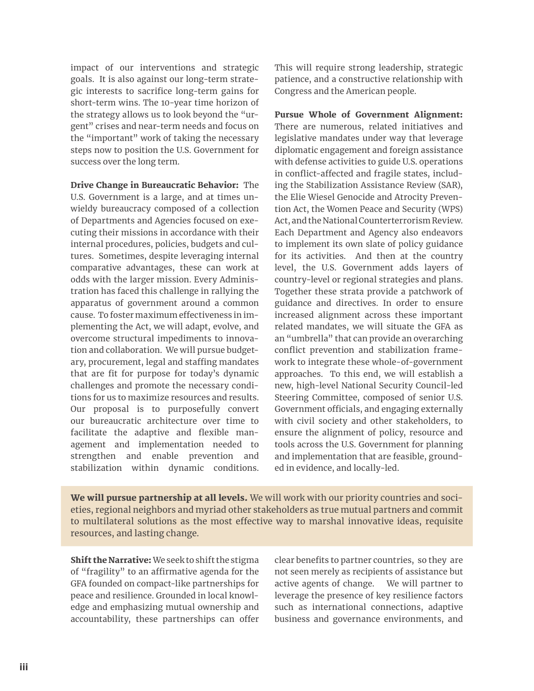impact of our interventions and strategic goals. It is also against our long-term strategic interests to sacrifice long-term gains for short-term wins. The 10-year time horizon of the strategy allows us to look beyond the "urgent" crises and near-term needs and focus on the "important" work of taking the necessary steps now to position the U.S. Government for success over the long term.

Drive Change in Bureaucratic Behavior: The U.S. Government is a large, and at times unwieldy bureaucracy composed of a collection of Departments and Agencies focused on executing their missions in accordance with their internal procedures, policies, budgets and cultures. Sometimes, despite leveraging internal comparative advantages, these can work at odds with the larger mission. Every Administration has faced this challenge in rallying the apparatus of government around a common cause. To foster maximum effectiveness in implementing the Act, we will adapt, evolve, and overcome structural impediments to innovation and collaboration. We will pursue budgetary, procurement, legal and staffing mandates that are fit for purpose for today's dynamic challenges and promote the necessary conditions for us to maximize resources and results. Our proposal is to purposefully convert our bureaucratic architecture over time to facilitate the adaptive and flexible management and implementation needed to strengthen and enable prevention and stabilization within dynamic conditions.

This will require strong leadership, strategic patience, and a constructive relationship with Congress and the American people.

Pursue Whole of Government Alignment: There are numerous, related initiatives and legislative mandates under way that leverage diplomatic engagement and foreign assistance with defense activities to guide U.S. operations in conflict-affected and fragile states, including the Stabilization Assistance Review (SAR), the Elie Wiesel Genocide and Atrocity Prevention Act, the Women Peace and Security (WPS) Act, and the National Counterterrorism Review. Each Department and Agency also endeavors to implement its own slate of policy guidance for its activities. And then at the country level, the U.S. Government adds layers of country-level or regional strategies and plans. Together these strata provide a patchwork of guidance and directives. In order to ensure increased alignment across these important related mandates, we will situate the GFA as an "umbrella" that can provide an overarching conflict prevention and stabilization framework to integrate these whole-of-government approaches. To this end, we will establish a new, high-level National Security Council-led Steering Committee, composed of senior U.S. Government officials, and engaging externally with civil society and other stakeholders, to ensure the alignment of policy, resource and tools across the U.S. Government for planning and implementation that are feasible, grounded in evidence, and locally-led.

We will pursue partnership at all levels. We will work with our priority countries and societies, regional neighbors and myriad other stakeholders as true mutual partners and commit to multilateral solutions as the most effective way to marshal innovative ideas, requisite resources, and lasting change.

Shift the Narrative: We seek to shift the stigma of "fragility" to an affirmative agenda for the GFA founded on compact-like partnerships for peace and resilience. Grounded in local knowledge and emphasizing mutual ownership and accountability, these partnerships can offer

clear benefits to partner countries, so they are not seen merely as recipients of assistance but active agents of change. We will partner to leverage the presence of key resilience factors such as international connections, adaptive business and governance environments, and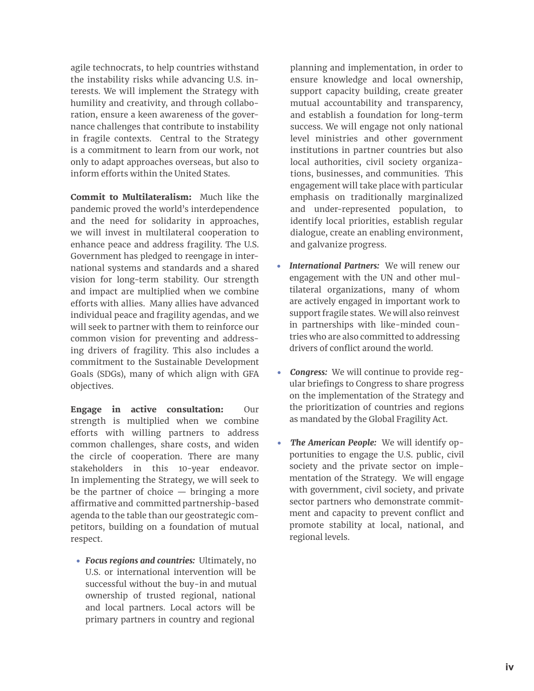agile technocrats, to help countries withstand the instability risks while advancing U.S. interests. We will implement the Strategy with humility and creativity, and through collaboration, ensure a keen awareness of the governance challenges that contribute to instability in fragile contexts. Central to the Strategy is a commitment to learn from our work, not only to adapt approaches overseas, but also to inform efforts within the United States.

Commit to Multilateralism: Much like the pandemic proved the world's interdependence and the need for solidarity in approaches, we will invest in multilateral cooperation to enhance peace and address fragility. The U.S. Government has pledged to reengage in international systems and standards and a shared vision for long-term stability. Our strength and impact are multiplied when we combine efforts with allies. Many allies have advanced individual peace and fragility agendas, and we will seek to partner with them to reinforce our common vision for preventing and addressing drivers of fragility. This also includes a commitment to the Sustainable Development Goals (SDGs), many of which align with GFA objectives.

Engage in active consultation: Our strength is multiplied when we combine efforts with willing partners to address common challenges, share costs, and widen the circle of cooperation. There are many stakeholders in this 10-year endeavor. In implementing the Strategy, we will seek to be the partner of choice — bringing a more affirmative and committed partnership-based agenda to the table than our geostrategic competitors, building on a foundation of mutual respect.

• *Focus regions and countries:* Ultimately, no U.S. or international intervention will be successful without the buy-in and mutual ownership of trusted regional, national and local partners. Local actors will be primary partners in country and regional

planning and implementation, in order to ensure knowledge and local ownership, support capacity building, create greater mutual accountability and transparency, and establish a foundation for long-term success. We will engage not only national level ministries and other government institutions in partner countries but also local authorities, civil society organizations, businesses, and communities. This engagement will take place with particular emphasis on traditionally marginalized and under-represented population, to identify local priorities, establish regular dialogue, create an enabling environment, and galvanize progress.

- *International Partners:* We will renew our engagement with the UN and other multilateral organizations, many of whom are actively engaged in important work to support fragile states. We will also reinvest in partnerships with like-minded countries who are also committed to addressing drivers of conflict around the world.
- Congress: We will continue to provide regular briefings to Congress to share progress on the implementation of the Strategy and the prioritization of countries and regions as mandated by the Global Fragility Act.
- *The American People:* We will identify opportunities to engage the U.S. public, civil society and the private sector on implementation of the Strategy. We will engage with government, civil society, and private sector partners who demonstrate commitment and capacity to prevent conflict and promote stability at local, national, and regional levels.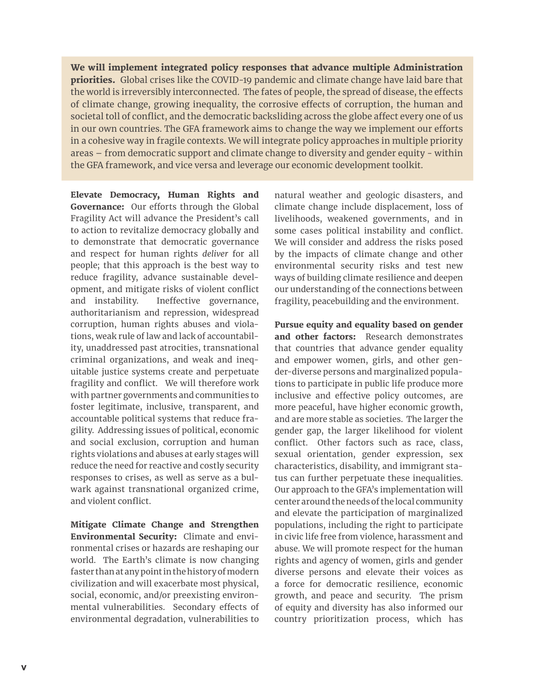We will implement integrated policy responses that advance multiple Administration priorities. Global crises like the COVID-19 pandemic and climate change have laid bare that the world is irreversibly interconnected. The fates of people, the spread of disease, the effects of climate change, growing inequality, the corrosive effects of corruption, the human and societal toll of conflict, and the democratic backsliding across the globe affect every one of us in our own countries. The GFA framework aims to change the way we implement our efforts in a cohesive way in fragile contexts. We will integrate policy approaches in multiple priority areas – from democratic support and climate change to diversity and gender equity - within the GFA framework, and vice versa and leverage our economic development toolkit.

Elevate Democracy, Human Rights and Governance: Our efforts through the Global Fragility Act will advance the President's call to action to revitalize democracy globally and to demonstrate that democratic governance and respect for human rights *deliver* for all people; that this approach is the best way to reduce fragility, advance sustainable development, and mitigate risks of violent conflict and instability. Ineffective governance, authoritarianism and repression, widespread corruption, human rights abuses and violations, weak rule of law and lack of accountability, unaddressed past atrocities, transnational criminal organizations, and weak and inequitable justice systems create and perpetuate fragility and conflict. We will therefore work with partner governments and communities to foster legitimate, inclusive, transparent, and accountable political systems that reduce fragility. Addressing issues of political, economic and social exclusion, corruption and human rights violations and abuses at early stages will reduce the need for reactive and costly security responses to crises, as well as serve as a bulwark against transnational organized crime, and violent conflict.

Mitigate Climate Change and Strengthen Environmental Security: Climate and environmental crises or hazards are reshaping our world. The Earth's climate is now changing faster than at any point in the history of modern civilization and will exacerbate most physical, social, economic, and/or preexisting environmental vulnerabilities. Secondary effects of environmental degradation, vulnerabilities to

natural weather and geologic disasters, and climate change include displacement, loss of livelihoods, weakened governments, and in some cases political instability and conflict. We will consider and address the risks posed by the impacts of climate change and other environmental security risks and test new ways of building climate resilience and deepen our understanding of the connections between fragility, peacebuilding and the environment.

Pursue equity and equality based on gender and other factors: Research demonstrates that countries that advance gender equality and empower women, girls, and other gender-diverse persons and marginalized populations to participate in public life produce more inclusive and effective policy outcomes, are more peaceful, have higher economic growth, and are more stable as societies. The larger the gender gap, the larger likelihood for violent conflict. Other factors such as race, class, sexual orientation, gender expression, sex characteristics, disability, and immigrant status can further perpetuate these inequalities. Our approach to the GFA's implementation will center around the needs of the local community and elevate the participation of marginalized populations, including the right to participate in civic life free from violence, harassment and abuse. We will promote respect for the human rights and agency of women, girls and gender diverse persons and elevate their voices as a force for democratic resilience, economic growth, and peace and security. The prism of equity and diversity has also informed our country prioritization process, which has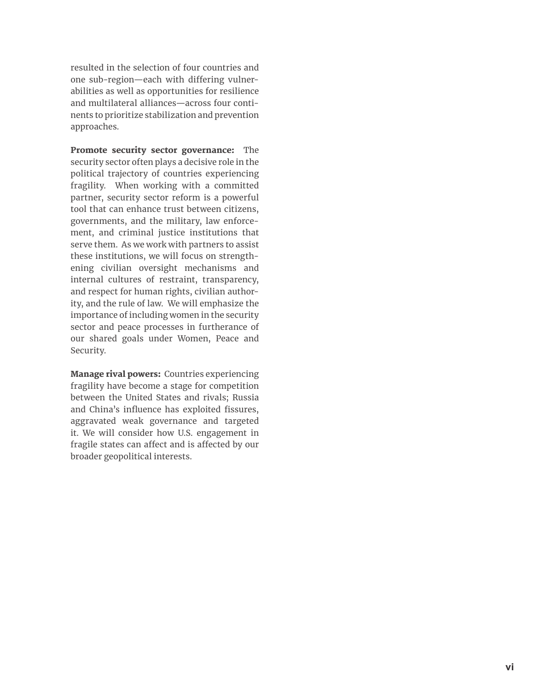resulted in the selection of four countries and one sub-region—each with differing vulner abilities as well as opportunities for resilience and multilateral alliances—across four conti nents to prioritize stabilization and prevention approaches.

Promote security sector governance: The security sector often plays a decisive role in the political trajectory of countries experiencing fragility. When working with a committed partner, security sector reform is a powerful tool that can enhance trust between citizens, governments, and the military, law enforce ment, and criminal justice institutions that serve them. As we work with partners to assist these institutions, we will focus on strength ening civilian oversight mechanisms and internal cultures of restraint, transparency, and respect for human rights, civilian author ity, and the rule of law. We will emphasize the importance of including women in the security sector and peace processes in furtherance of our shared goals under Women, Peace and Security.

Manage rival powers: Countries experiencing fragility have become a stage for competition between the United States and rivals; Russia and China's influence has exploited fissures, aggravated weak governance and targeted it. We will consider how U.S. engagement in fragile states can affect and is affected by our broader geopolitical interests.